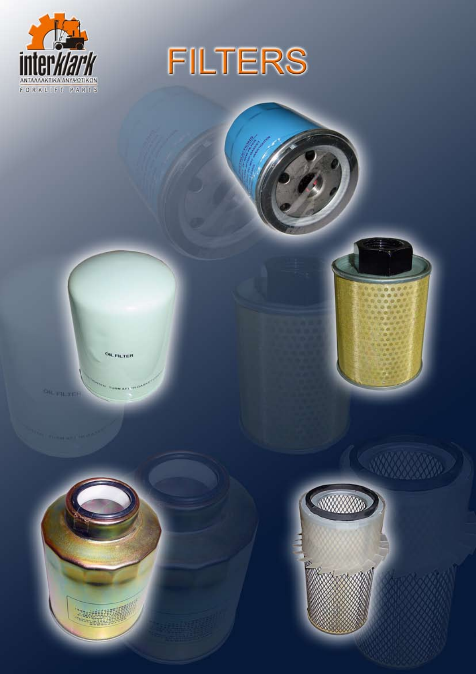



**OIL FILTER** 

OR FILTER



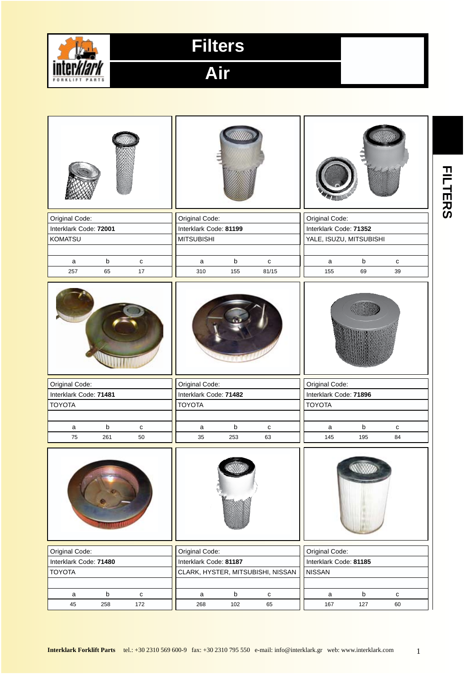

**Air**

|                                          |                                                                                     | <b>FILTERS</b> |
|------------------------------------------|-------------------------------------------------------------------------------------|----------------|
| Original Code:                           | Original Code:<br>Original Code:                                                    |                |
| Interklark Code: 72001                   | Interklark Code: 71352<br>Interklark Code: 81199                                    |                |
| <b>KOMATSU</b>                           | <b>MITSUBISHI</b><br>YALE, ISUZU, MITSUBISHI                                        |                |
|                                          |                                                                                     |                |
| b<br>${\bf c}$<br>$\mathsf a$            | $\sf b$<br>$\mathsf b$<br>$\mathbf c$<br>${\bf c}$<br>$\mathsf a$<br>a              |                |
| $17\,$<br>257<br>65                      | 81/15<br>155<br>69<br>310<br>155<br>39                                              |                |
|                                          |                                                                                     |                |
| Original Code:                           | Original Code:<br>Original Code:                                                    |                |
| Interklark Code: 71481                   | Interklark Code: 71482<br>Interklark Code: 71896                                    |                |
| <b>TOYOTA</b>                            | <b>TOYOTA</b><br><b>TOYOTA</b>                                                      |                |
|                                          |                                                                                     |                |
| b<br>$\mathsf a$<br>${\bf c}$            | $\sf b$<br>$\sf b$<br>$\mathsf a$<br>${\bf c}$<br>$\mathsf{a}$<br>${\bf c}$         |                |
| 75<br>261<br>50                          | 35<br>253<br>63<br>145<br>195<br>84                                                 |                |
|                                          |                                                                                     |                |
| Original Code:                           | Original Code:<br>Original Code:                                                    |                |
| Interklark Code: 71480                   | Interklark Code: 81187<br>Interklark Code: 81185                                    |                |
| <b>TOYOTA</b>                            | CLARK, HYSTER, MITSUBISHI, NISSAN<br><b>NISSAN</b>                                  |                |
|                                          |                                                                                     |                |
| $\mathsf b$<br>${\bf c}$<br>$\mathsf{a}$ | $\mathsf b$<br>$\mathsf b$<br>$\mathsf a$<br>${\bf c}$<br>${\bf c}$<br>$\mathsf{a}$ |                |
| 45<br>258<br>172                         | 102<br>65<br>167<br>127<br>268<br>60                                                |                |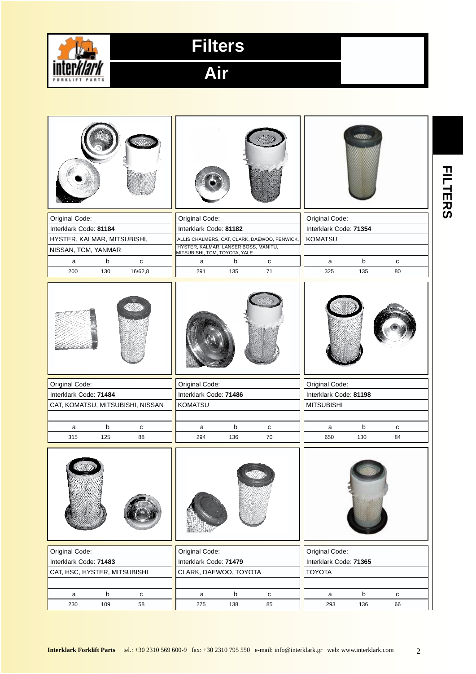

**Air**

|                                       |                                                                                                        | <b>ILTERS</b> |
|---------------------------------------|--------------------------------------------------------------------------------------------------------|---------------|
| Original Code:                        | Original Code:<br>Original Code:                                                                       |               |
| Interklark Code: 81184                | Interklark Code: 71354                                                                                 |               |
|                                       | Interklark Code: 81182                                                                                 |               |
| HYSTER, KALMAR, MITSUBISHI,           | <b>KOMATSU</b><br>ALLIS CHALMERS, CAT, CLARK, DAEWOO, FENWICK,<br>HYSTER, KALMAR, LANSER BOSS, MANITU, |               |
| NISSAN, TCM, YANMAR                   | MITSUBISHI, TCM, TOYOTA, YALE                                                                          |               |
| $\sf b$<br>$\mathtt{C}$<br>a          | $\mathsf b$<br>b<br>$\mathbf{C}$<br>a<br>c<br>a                                                        |               |
| 200<br>130<br>16/62,8                 | 71<br>325<br>291<br>135<br>135<br>80                                                                   |               |
|                                       |                                                                                                        |               |
| Original Code:                        | Original Code:<br>Original Code:                                                                       |               |
| Interklark Code: 71484                | Interklark Code: 71486<br>Interklark Code: 81198                                                       |               |
| CAT, KOMATSU, MITSUBISHI, NISSAN      | KOMATSU<br><b>MITSUBISHI</b>                                                                           |               |
|                                       |                                                                                                        |               |
| b<br>a<br>c                           | b<br>b<br>${\bf c}$<br>a<br>c<br>a                                                                     |               |
| 315<br>125<br>88                      | 294<br>136<br>70<br>650<br>130<br>84                                                                   |               |
|                                       |                                                                                                        |               |
| Original Code:                        | Original Code:<br>Original Code:                                                                       |               |
| Interklark Code: 71483                | Interklark Code: 71479<br>Interklark Code: 71365                                                       |               |
| CAT, HSC, HYSTER, MITSUBISHI          | CLARK, DAEWOO, TOYOTA<br><b>TOYOTA</b>                                                                 |               |
|                                       |                                                                                                        |               |
| b                                     | b<br>b                                                                                                 |               |
| $\mathbf{C}$<br>a<br>230<br>109<br>58 | $\mathsf a$<br>${\bf c}$<br>c<br>a<br>275<br>138<br>85<br>293<br>136<br>66                             |               |
|                                       |                                                                                                        |               |

2 **Interklark Forklift Parts** tel.: +30 2310 569 600-9 fax: +30 2310 795 550 e-mail: info@interklark.gr web: www.interklark.com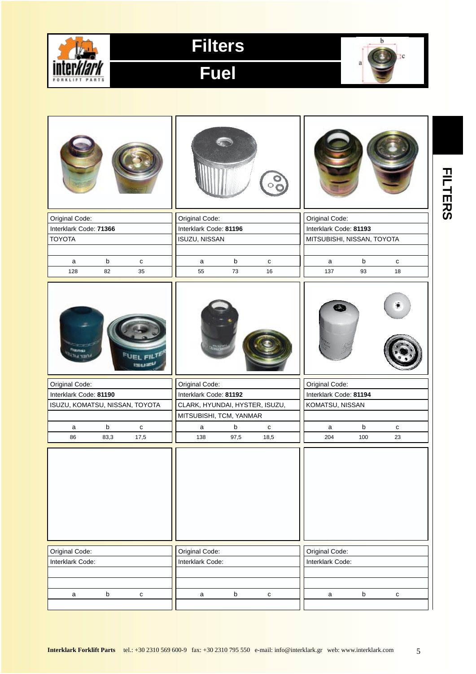

**Fuel**



| Original Code:                         |         |           | Original Code:                 |         |              | Original Code:             |         |           |
|----------------------------------------|---------|-----------|--------------------------------|---------|--------------|----------------------------|---------|-----------|
| Interklark Code: 71366                 |         |           | Interklark Code: 81196         |         |              | Interklark Code: 81193     |         |           |
| <b>TOYOTA</b>                          |         |           | ISUZU, NISSAN                  |         |              | MITSUBISHI, NISSAN, TOYOTA |         |           |
|                                        |         |           |                                |         |              |                            |         |           |
| a                                      | $\sf b$ | ${\bf c}$ | $\mathsf a$                    | b       | ${\bf c}$    | $\mathsf a$                | $\sf b$ | c         |
| 128                                    | 82      | 35        | 55                             | 73      | 16           | 137                        | 93      | 18        |
| <b>Rensi</b><br>iner uli <sup>u.</sup> |         |           |                                |         |              |                            |         |           |
| Original Code:                         |         |           | Original Code:                 |         |              | Original Code:             |         |           |
| Interklark Code: 81190                 |         |           | Interklark Code: 81192         |         |              | Interklark Code: 81194     |         |           |
| ISUZU, KOMATSU, NISSAN, TOYOTA         |         |           | CLARK, HYUNDAI, HYSTER, ISUZU, |         |              | KOMATSU, NISSAN            |         |           |
|                                        |         |           | MITSUBISHI, TCM, YANMAR        |         |              |                            |         |           |
| a                                      | $\sf b$ | ${\bf c}$ | a                              | b       | $\mathbf{C}$ | $\mathsf a$                | b       | с         |
| 86                                     | 83,3    | 17,5      | 138                            | 97,5    | 18,5         | 204                        | 100     | 23        |
|                                        |         |           |                                |         |              |                            |         |           |
| Original Code:                         |         |           | Original Code:                 |         |              | Original Code:             |         |           |
| Interklark Code:                       |         |           | Interklark Code:               |         |              | Interklark Code:           |         |           |
|                                        |         |           |                                |         |              |                            |         |           |
|                                        |         |           |                                |         |              |                            |         |           |
| $\mathsf a$                            | $\sf b$ | ${\tt C}$ | $\mathsf a$                    | $\sf b$ | ${\bf c}$    | $\mathsf a$                | $\sf b$ | ${\bf c}$ |

**FILTERS FILTERS**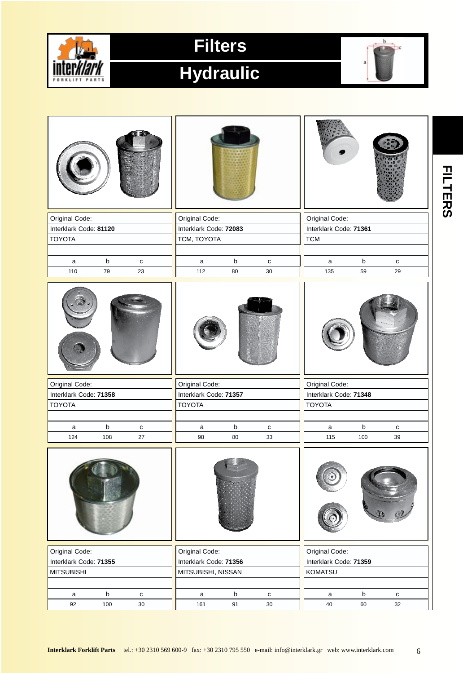

#### **Hydraulic**



|                        |             |                     |                        |                   |                        |                        |             |                 | <b>FILTERS</b> |
|------------------------|-------------|---------------------|------------------------|-------------------|------------------------|------------------------|-------------|-----------------|----------------|
| Original Code:         |             |                     | Original Code:         |                   |                        | Original Code:         |             |                 |                |
|                        |             |                     |                        |                   |                        |                        |             |                 |                |
| Interklark Code: 81120 |             |                     | Interklark Code: 72083 |                   |                        | Interklark Code: 71361 |             |                 |                |
| <b>TOYOTA</b>          |             |                     | TCM, TOYOTA            |                   |                        | <b>TCM</b>             |             |                 |                |
|                        |             |                     |                        |                   |                        |                        |             |                 |                |
| a                      | $\mathsf b$ | $\mathbf{C}$        | a                      | $\sf b$           | $\mathbf{C}$           | a                      | $\sf b$     | ${\bf c}$       |                |
| 110                    | 79          | 23                  | 112                    | 80                | $30\,$                 | 135                    | 59          | 29              |                |
|                        |             |                     |                        |                   |                        |                        |             |                 |                |
| Original Code:         |             |                     | Original Code:         |                   |                        | Original Code:         |             |                 |                |
| Interklark Code: 71358 |             |                     | Interklark Code: 71357 |                   |                        | Interklark Code: 71348 |             |                 |                |
| <b>TOYOTA</b>          |             |                     | <b>TOYOTA</b>          |                   |                        | <b>TOYOTA</b>          |             |                 |                |
|                        |             |                     |                        |                   |                        |                        |             |                 |                |
| a                      | $\mathsf b$ | $\mathbf{C}$        | a                      | $\sf b$           | c                      | a                      | $\mathsf b$ | c               |                |
| 124                    | 108         | 27                  | 98                     | 80                | 33                     | 115                    | 100         | 39              |                |
|                        |             |                     |                        |                   |                        |                        |             |                 |                |
| Original Code:         |             |                     | Original Code:         |                   |                        | Original Code:         |             |                 |                |
| Interklark Code: 71355 |             |                     | Interklark Code: 71356 |                   |                        | Interklark Code: 71359 |             |                 |                |
| <b>MITSUBISHI</b>      |             |                     | MITSUBISHI, NISSAN     |                   |                        | <b>KOMATSU</b>         |             |                 |                |
|                        |             |                     |                        |                   |                        |                        |             |                 |                |
|                        | $\sf b$     |                     |                        |                   |                        |                        | $\mathsf b$ |                 |                |
| $\mathsf a$<br>92      | 100         | ${\bf c}$<br>$30\,$ | $\mathsf a$<br>161     | $\mathsf b$<br>91 | $\mathtt{C}$<br>$30\,$ | $\mathsf{a}$<br>40     | 60          | ${\bf c}$<br>32 |                |
|                        |             |                     |                        |                   |                        |                        |             |                 |                |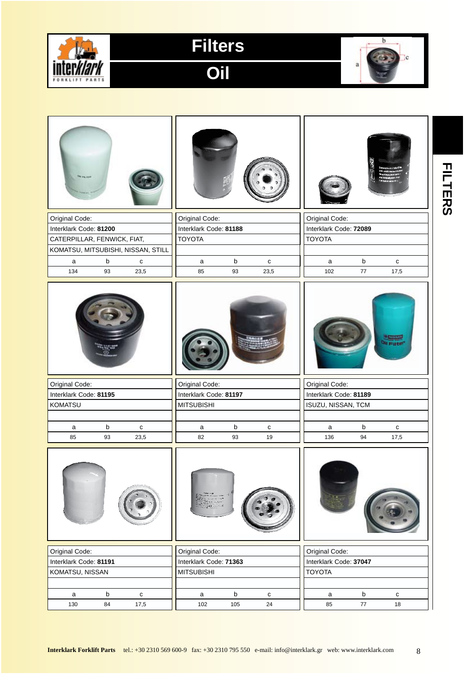

**Oil**



| Original Code:                            | Original Code:         |                             | Original Code:                   |  |  |
|-------------------------------------------|------------------------|-----------------------------|----------------------------------|--|--|
| Interklark Code: 81200                    | Interklark Code: 81188 |                             | Interklark Code: 72089           |  |  |
| CATERPILLAR, FENWICK, FIAT,               | <b>TOYOTA</b>          |                             | <b>TOYOTA</b>                    |  |  |
| KOMATSU, MITSUBISHI, NISSAN, STILL        |                        |                             |                                  |  |  |
| $\mathsf b$<br>a<br>$\mathbf{C}$          | a                      | b<br>$\mathbf{C}$           | $\mathsf b$<br>a<br>c            |  |  |
| 134<br>93<br>23,5                         | 85                     | 93<br>23,5                  | $77\,$<br>17,5<br>102            |  |  |
|                                           |                        |                             | <b>CENTRAL</b><br>hi mute        |  |  |
| Original Code:                            | Original Code:         |                             | Original Code:                   |  |  |
| Interklark Code: 81195                    | Interklark Code: 81197 |                             | Interklark Code: 81189           |  |  |
| KOMATSU                                   | <b>MITSUBISHI</b>      |                             | ISUZU, NISSAN, TCM               |  |  |
| $\mathsf b$<br>a<br>$\mathbf{C}$          | a                      | $\mathsf b$<br>$\mathbf{C}$ | $\mathsf b$<br>a<br>c            |  |  |
| 85<br>93<br>23,5                          | 82                     | 19<br>93                    | 17,5<br>136<br>94                |  |  |
|                                           |                        |                             |                                  |  |  |
| Original Code:                            | Original Code:         |                             | Original Code:                   |  |  |
| Interklark Code: 81191                    | Interklark Code: 71363 |                             | Interklark Code: 37047           |  |  |
| KOMATSU, NISSAN                           | <b>MITSUBISHI</b>      |                             | <b>TOYOTA</b>                    |  |  |
| $\mathsf b$<br>$\mathbf c$<br>$\mathsf a$ | a                      | $\sf b$<br>$\mathbf{C}$     | $\mathsf b$<br>$\mathbf{C}$<br>a |  |  |
| 130<br>84<br>17,5                         | 102                    | 105<br>24                   | 85<br>$77\,$<br>18               |  |  |

**FILTERS FILTERS**